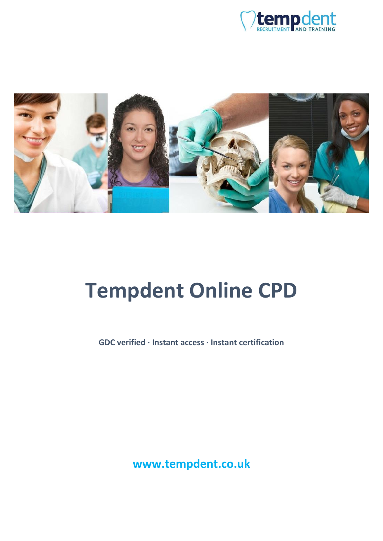



# **Tempdent Online CPD**

**GDC verified · Instant access · Instant certification**

**www.tempdent.co.uk**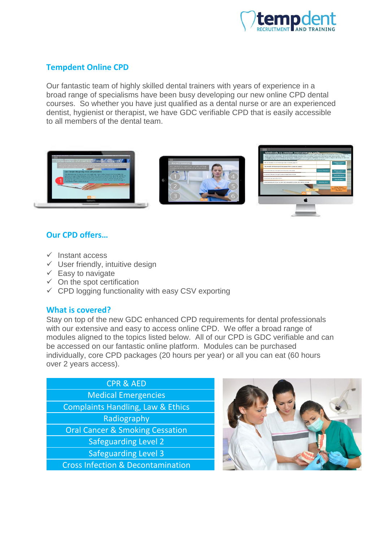

# **Tempdent Online CPD**

Our fantastic team of highly skilled dental trainers with years of experience in a broad range of specialisms have been busy developing our new online CPD dental courses. So whether you have just qualified as a dental nurse or are an experienced dentist, hygienist or therapist, we have GDC verifiable CPD that is easily accessible to all members of the dental team.



## **Our CPD offers…**

- $\checkmark$  Instant access
- $\checkmark$  User friendly, intuitive design
- $\checkmark$  Easy to navigate
- $\checkmark$  On the spot certification
- $\checkmark$  CPD logging functionality with easy CSV exporting

## **What is covered?**

Stay on top of the new GDC enhanced CPD requirements for dental professionals with our extensive and easy to access online CPD. We offer a broad range of modules aligned to the topics listed below. All of our CPD is GDC verifiable and can be accessed on our fantastic online platform. Modules can be purchased individually, core CPD packages (20 hours per year) or all you can eat (60 hours over 2 years access).

| <b>CPR &amp; AED</b>                         |  |
|----------------------------------------------|--|
| <b>Medical Emergencies</b>                   |  |
| <b>Complaints Handling, Law &amp; Ethics</b> |  |
| Radiography                                  |  |
| <b>Oral Cancer &amp; Smoking Cessation</b>   |  |
| <b>Safeguarding Level 2</b>                  |  |
| <b>Safeguarding Level 3</b>                  |  |
| <b>Cross Infection &amp; Decontamination</b> |  |

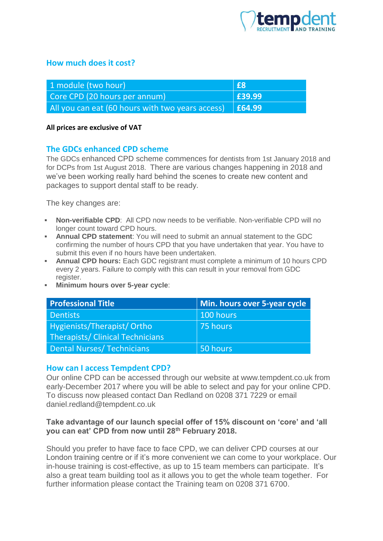

## **How much does it cost?**

| 1 module (two hour)                                                             | E8     |
|---------------------------------------------------------------------------------|--------|
| Core CPD (20 hours per annum)                                                   | E39.99 |
| All you can eat (60 hours with two years access) $\left  \right.$ <b>£64.99</b> |        |

#### **All prices are exclusive of VAT**

## **The GDCs enhanced CPD scheme**

The GDCs enhanced CPD scheme commences for dentists from 1st January 2018 and for DCPs from 1st August 2018. There are various changes happening in 2018 and we've been working really hard behind the scenes to create new content and packages to support dental staff to be ready.

The key changes are:

- **Non-verifiable CPD**: All CPD now needs to be verifiable. Non-verifiable CPD will no longer count toward CPD hours.
- **Annual CPD statement**: You will need to submit an annual statement to the GDC confirming the number of hours CPD that you have undertaken that year. You have to submit this even if no hours have been undertaken.
- **Annual CPD hours:** Each GDC registrant must complete a minimum of 10 hours CPD every 2 years. Failure to comply with this can result in your removal from GDC register.
- **Minimum hours over 5-year cycle**:

| <b>Professional Title</b>        | Min. hours over 5-year cycle |
|----------------------------------|------------------------------|
| <b>Dentists</b>                  | 100 hours                    |
| Hygienists/Therapist/Ortho       | 75 hours                     |
| Therapists/ Clinical Technicians |                              |
| <b>Dental Nurses/Technicians</b> | 50 hours                     |

## **How can I access Tempdent CPD?**

Our online CPD can be accessed through our website at www.tempdent.co.uk from early-December 2017 where you will be able to select and pay for your online CPD. To discuss now pleased contact Dan Redland on 0208 371 7229 or email daniel.redland@tempdent.co.uk

#### **Take advantage of our launch special offer of 15% discount on 'core' and 'all you can eat' CPD from now until 28th February 2018.**

Should you prefer to have face to face CPD, we can deliver CPD courses at our London training centre or if it's more convenient we can come to your workplace. Our in-house training is cost-effective, as up to 15 team members can participate. It's also a great team building tool as it allows you to get the whole team together. For further information please contact the Training team on 0208 371 6700.